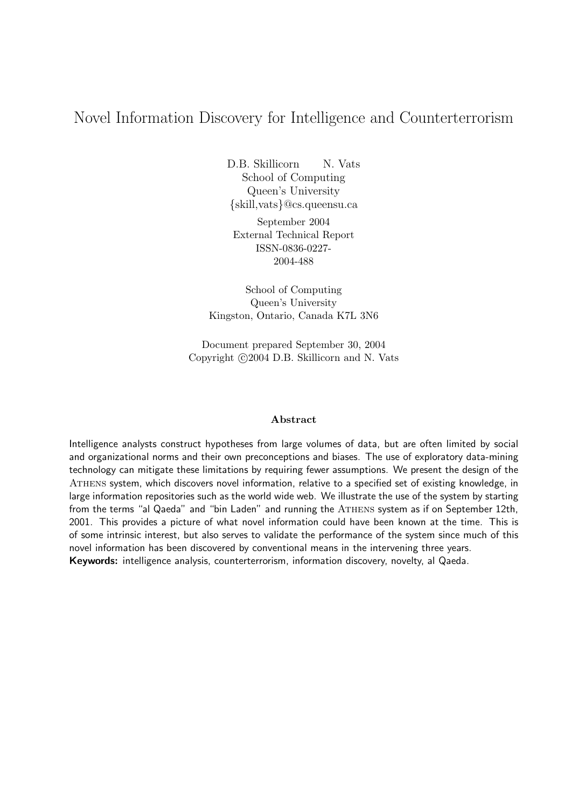# Novel Information Discovery for Intelligence and Counterterrorism

D.B. Skillicorn N. Vats School of Computing Queen's University {skill,vats}@cs.queensu.ca

September 2004 External Technical Report ISSN-0836-0227- 2004-488

School of Computing Queen's University Kingston, Ontario, Canada K7L 3N6

Document prepared September 30, 2004 Copyright  $\odot$ 2004 D.B. Skillicorn and N. Vats

#### Abstract

Intelligence analysts construct hypotheses from large volumes of data, but are often limited by social and organizational norms and their own preconceptions and biases. The use of exploratory data-mining technology can mitigate these limitations by requiring fewer assumptions. We present the design of the Athens system, which discovers novel information, relative to a specified set of existing knowledge, in large information repositories such as the world wide web. We illustrate the use of the system by starting from the terms "al Qaeda" and "bin Laden" and running the ATHENS system as if on September 12th, 2001. This provides a picture of what novel information could have been known at the time. This is of some intrinsic interest, but also serves to validate the performance of the system since much of this novel information has been discovered by conventional means in the intervening three years. Keywords: intelligence analysis, counterterrorism, information discovery, novelty, al Qaeda.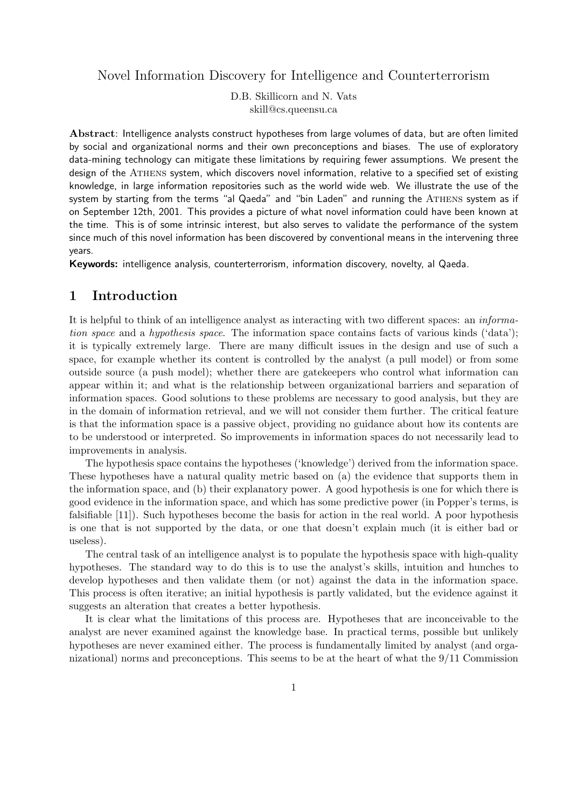#### Novel Information Discovery for Intelligence and Counterterrorism

D.B. Skillicorn and N. Vats skill@cs.queensu.ca

Abstract: Intelligence analysts construct hypotheses from large volumes of data, but are often limited by social and organizational norms and their own preconceptions and biases. The use of exploratory data-mining technology can mitigate these limitations by requiring fewer assumptions. We present the design of the ATHENS system, which discovers novel information, relative to a specified set of existing knowledge, in large information repositories such as the world wide web. We illustrate the use of the system by starting from the terms "al Qaeda" and "bin Laden" and running the ATHENS system as if on September 12th, 2001. This provides a picture of what novel information could have been known at the time. This is of some intrinsic interest, but also serves to validate the performance of the system since much of this novel information has been discovered by conventional means in the intervening three years.

Keywords: intelligence analysis, counterterrorism, information discovery, novelty, al Qaeda.

### 1 Introduction

It is helpful to think of an intelligence analyst as interacting with two different spaces: an information space and a hypothesis space. The information space contains facts of various kinds ('data'); it is typically extremely large. There are many difficult issues in the design and use of such a space, for example whether its content is controlled by the analyst (a pull model) or from some outside source (a push model); whether there are gatekeepers who control what information can appear within it; and what is the relationship between organizational barriers and separation of information spaces. Good solutions to these problems are necessary to good analysis, but they are in the domain of information retrieval, and we will not consider them further. The critical feature is that the information space is a passive object, providing no guidance about how its contents are to be understood or interpreted. So improvements in information spaces do not necessarily lead to improvements in analysis.

The hypothesis space contains the hypotheses ('knowledge') derived from the information space. These hypotheses have a natural quality metric based on (a) the evidence that supports them in the information space, and (b) their explanatory power. A good hypothesis is one for which there is good evidence in the information space, and which has some predictive power (in Popper's terms, is falsifiable [11]). Such hypotheses become the basis for action in the real world. A poor hypothesis is one that is not supported by the data, or one that doesn't explain much (it is either bad or useless).

The central task of an intelligence analyst is to populate the hypothesis space with high-quality hypotheses. The standard way to do this is to use the analyst's skills, intuition and hunches to develop hypotheses and then validate them (or not) against the data in the information space. This process is often iterative; an initial hypothesis is partly validated, but the evidence against it suggests an alteration that creates a better hypothesis.

It is clear what the limitations of this process are. Hypotheses that are inconceivable to the analyst are never examined against the knowledge base. In practical terms, possible but unlikely hypotheses are never examined either. The process is fundamentally limited by analyst (and organizational) norms and preconceptions. This seems to be at the heart of what the 9/11 Commission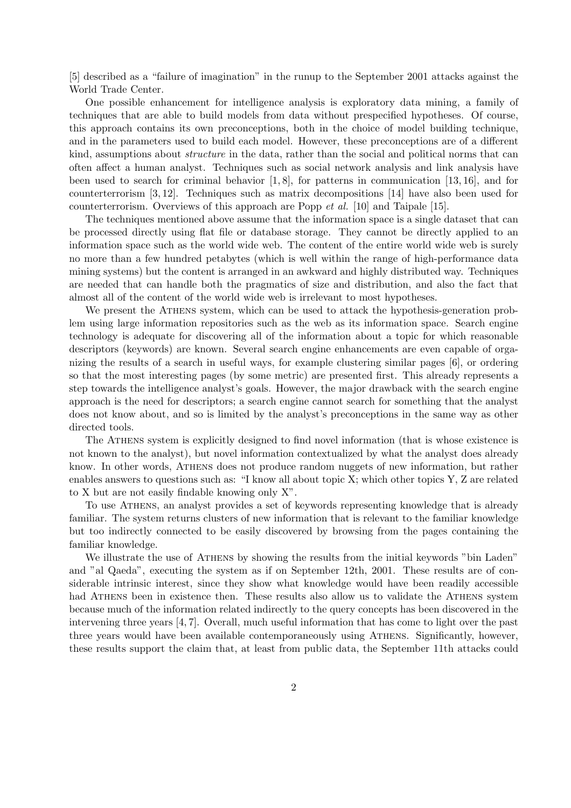[5] described as a "failure of imagination" in the runup to the September 2001 attacks against the World Trade Center.

One possible enhancement for intelligence analysis is exploratory data mining, a family of techniques that are able to build models from data without prespecified hypotheses. Of course, this approach contains its own preconceptions, both in the choice of model building technique, and in the parameters used to build each model. However, these preconceptions are of a different kind, assumptions about *structure* in the data, rather than the social and political norms that can often affect a human analyst. Techniques such as social network analysis and link analysis have been used to search for criminal behavior  $[1, 8]$ , for patterns in communication  $[13, 16]$ , and for counterterrorism [3, 12]. Techniques such as matrix decompositions [14] have also been used for counterterrorism. Overviews of this approach are Popp et al. [10] and Taipale [15].

The techniques mentioned above assume that the information space is a single dataset that can be processed directly using flat file or database storage. They cannot be directly applied to an information space such as the world wide web. The content of the entire world wide web is surely no more than a few hundred petabytes (which is well within the range of high-performance data mining systems) but the content is arranged in an awkward and highly distributed way. Techniques are needed that can handle both the pragmatics of size and distribution, and also the fact that almost all of the content of the world wide web is irrelevant to most hypotheses.

We present the ATHENS system, which can be used to attack the hypothesis-generation problem using large information repositories such as the web as its information space. Search engine technology is adequate for discovering all of the information about a topic for which reasonable descriptors (keywords) are known. Several search engine enhancements are even capable of organizing the results of a search in useful ways, for example clustering similar pages [6], or ordering so that the most interesting pages (by some metric) are presented first. This already represents a step towards the intelligence analyst's goals. However, the major drawback with the search engine approach is the need for descriptors; a search engine cannot search for something that the analyst does not know about, and so is limited by the analyst's preconceptions in the same way as other directed tools.

The Athens system is explicitly designed to find novel information (that is whose existence is not known to the analyst), but novel information contextualized by what the analyst does already know. In other words, Athens does not produce random nuggets of new information, but rather enables answers to questions such as: "I know all about topic  $X$ ; which other topics  $Y$ ,  $Z$  are related to X but are not easily findable knowing only X".

To use Athens, an analyst provides a set of keywords representing knowledge that is already familiar. The system returns clusters of new information that is relevant to the familiar knowledge but too indirectly connected to be easily discovered by browsing from the pages containing the familiar knowledge.

We illustrate the use of ATHENS by showing the results from the initial keywords "bin Laden" and "al Qaeda", executing the system as if on September 12th, 2001. These results are of considerable intrinsic interest, since they show what knowledge would have been readily accessible had ATHENS been in existence then. These results also allow us to validate the ATHENS system because much of the information related indirectly to the query concepts has been discovered in the intervening three years [4, 7]. Overall, much useful information that has come to light over the past three years would have been available contemporaneously using ATHENS. Significantly, however, these results support the claim that, at least from public data, the September 11th attacks could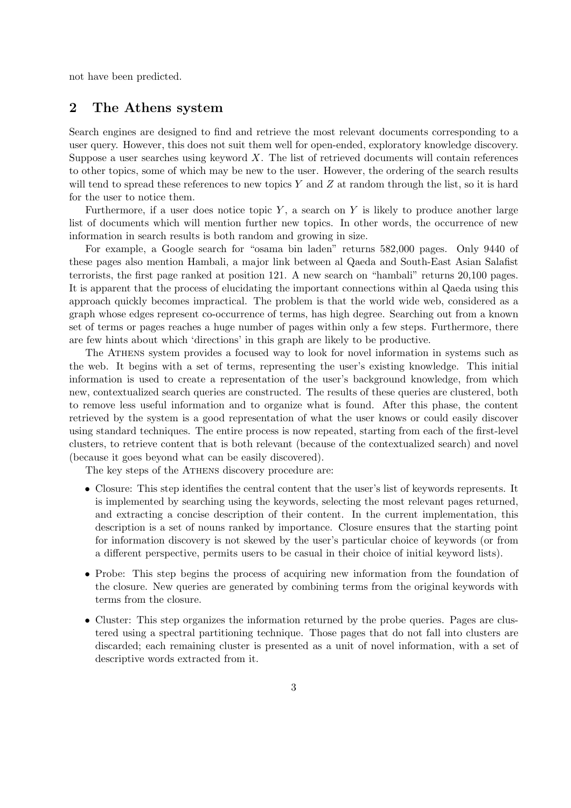not have been predicted.

#### 2 The Athens system

Search engines are designed to find and retrieve the most relevant documents corresponding to a user query. However, this does not suit them well for open-ended, exploratory knowledge discovery. Suppose a user searches using keyword  $X$ . The list of retrieved documents will contain references to other topics, some of which may be new to the user. However, the ordering of the search results will tend to spread these references to new topics  $Y$  and  $Z$  at random through the list, so it is hard for the user to notice them.

Furthermore, if a user does notice topic  $Y$ , a search on  $Y$  is likely to produce another large list of documents which will mention further new topics. In other words, the occurrence of new information in search results is both random and growing in size.

For example, a Google search for "osama bin laden" returns 582,000 pages. Only 9440 of these pages also mention Hambali, a major link between al Qaeda and South-East Asian Salafist terrorists, the first page ranked at position 121. A new search on "hambali" returns 20,100 pages. It is apparent that the process of elucidating the important connections within al Qaeda using this approach quickly becomes impractical. The problem is that the world wide web, considered as a graph whose edges represent co-occurrence of terms, has high degree. Searching out from a known set of terms or pages reaches a huge number of pages within only a few steps. Furthermore, there are few hints about which 'directions' in this graph are likely to be productive.

The Athens system provides a focused way to look for novel information in systems such as the web. It begins with a set of terms, representing the user's existing knowledge. This initial information is used to create a representation of the user's background knowledge, from which new, contextualized search queries are constructed. The results of these queries are clustered, both to remove less useful information and to organize what is found. After this phase, the content retrieved by the system is a good representation of what the user knows or could easily discover using standard techniques. The entire process is now repeated, starting from each of the first-level clusters, to retrieve content that is both relevant (because of the contextualized search) and novel (because it goes beyond what can be easily discovered).

The key steps of the ATHENS discovery procedure are:

- Closure: This step identifies the central content that the user's list of keywords represents. It is implemented by searching using the keywords, selecting the most relevant pages returned, and extracting a concise description of their content. In the current implementation, this description is a set of nouns ranked by importance. Closure ensures that the starting point for information discovery is not skewed by the user's particular choice of keywords (or from a different perspective, permits users to be casual in their choice of initial keyword lists).
- Probe: This step begins the process of acquiring new information from the foundation of the closure. New queries are generated by combining terms from the original keywords with terms from the closure.
- Cluster: This step organizes the information returned by the probe queries. Pages are clustered using a spectral partitioning technique. Those pages that do not fall into clusters are discarded; each remaining cluster is presented as a unit of novel information, with a set of descriptive words extracted from it.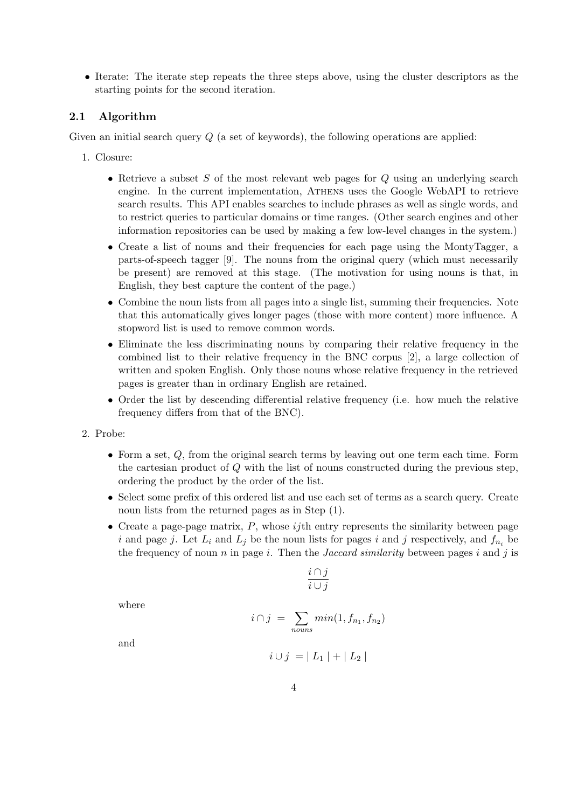• Iterate: The iterate step repeats the three steps above, using the cluster descriptors as the starting points for the second iteration.

#### 2.1 Algorithm

Given an initial search query  $Q$  (a set of keywords), the following operations are applied:

- 1. Closure:
	- Retrieve a subset  $S$  of the most relevant web pages for  $Q$  using an underlying search engine. In the current implementation, Athens uses the Google WebAPI to retrieve search results. This API enables searches to include phrases as well as single words, and to restrict queries to particular domains or time ranges. (Other search engines and other information repositories can be used by making a few low-level changes in the system.)
	- Create a list of nouns and their frequencies for each page using the MontyTagger, a parts-of-speech tagger [9]. The nouns from the original query (which must necessarily be present) are removed at this stage. (The motivation for using nouns is that, in English, they best capture the content of the page.)
	- Combine the noun lists from all pages into a single list, summing their frequencies. Note that this automatically gives longer pages (those with more content) more influence. A stopword list is used to remove common words.
	- Eliminate the less discriminating nouns by comparing their relative frequency in the combined list to their relative frequency in the BNC corpus [2], a large collection of written and spoken English. Only those nouns whose relative frequency in the retrieved pages is greater than in ordinary English are retained.
	- Order the list by descending differential relative frequency (i.e. how much the relative frequency differs from that of the BNC).
- 2. Probe:
	- Form a set, Q, from the original search terms by leaving out one term each time. Form the cartesian product of Q with the list of nouns constructed during the previous step, ordering the product by the order of the list.
	- Select some prefix of this ordered list and use each set of terms as a search query. Create noun lists from the returned pages as in Step (1).
	- Create a page-page matrix,  $P$ , whose ijth entry represents the similarity between page i and page j. Let  $L_i$  and  $L_j$  be the noun lists for pages i and j respectively, and  $f_{n_i}$  be the frequency of noun n in page i. Then the *Jaccard similarity* between pages i and j is

$$
\frac{i \cap j}{i \cup j}
$$

where

$$
i \cap j = \sum_{nouns} min(1, f_{n_1}, f_{n_2})
$$

and

$$
i \cup j = | L_1 | + | L_2 |
$$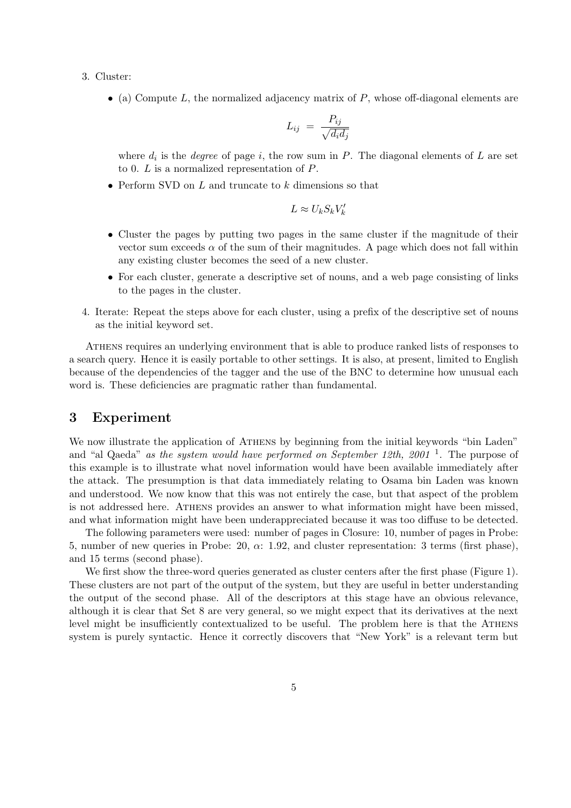3. Cluster:

• (a) Compute L, the normalized adjacency matrix of  $P$ , whose off-diagonal elements are

$$
L_{ij} = \frac{P_{ij}}{\sqrt{d_i d_j}}
$$

where  $d_i$  is the *degree* of page i, the row sum in P. The diagonal elements of L are set to 0.  $L$  is a normalized representation of  $P$ .

• Perform SVD on  $L$  and truncate to  $k$  dimensions so that

$$
L\approx U_k S_k V_k'
$$

- Cluster the pages by putting two pages in the same cluster if the magnitude of their vector sum exceeds  $\alpha$  of the sum of their magnitudes. A page which does not fall within any existing cluster becomes the seed of a new cluster.
- For each cluster, generate a descriptive set of nouns, and a web page consisting of links to the pages in the cluster.
- 4. Iterate: Repeat the steps above for each cluster, using a prefix of the descriptive set of nouns as the initial keyword set.

Athens requires an underlying environment that is able to produce ranked lists of responses to a search query. Hence it is easily portable to other settings. It is also, at present, limited to English because of the dependencies of the tagger and the use of the BNC to determine how unusual each word is. These deficiencies are pragmatic rather than fundamental.

#### 3 Experiment

We now illustrate the application of ATHENS by beginning from the initial keywords "bin Laden" and "al Qaeda" *as the system would have performed on September 12th, 2001*<sup>1</sup>. The purpose of this example is to illustrate what novel information would have been available immediately after the attack. The presumption is that data immediately relating to Osama bin Laden was known and understood. We now know that this was not entirely the case, but that aspect of the problem is not addressed here. Athens provides an answer to what information might have been missed, and what information might have been underappreciated because it was too diffuse to be detected.

The following parameters were used: number of pages in Closure: 10, number of pages in Probe: 5, number of new queries in Probe: 20, α: 1.92, and cluster representation: 3 terms (first phase), and 15 terms (second phase).

We first show the three-word queries generated as cluster centers after the first phase (Figure 1). These clusters are not part of the output of the system, but they are useful in better understanding the output of the second phase. All of the descriptors at this stage have an obvious relevance, although it is clear that Set 8 are very general, so we might expect that its derivatives at the next level might be insufficiently contextualized to be useful. The problem here is that the ATHENS system is purely syntactic. Hence it correctly discovers that "New York" is a relevant term but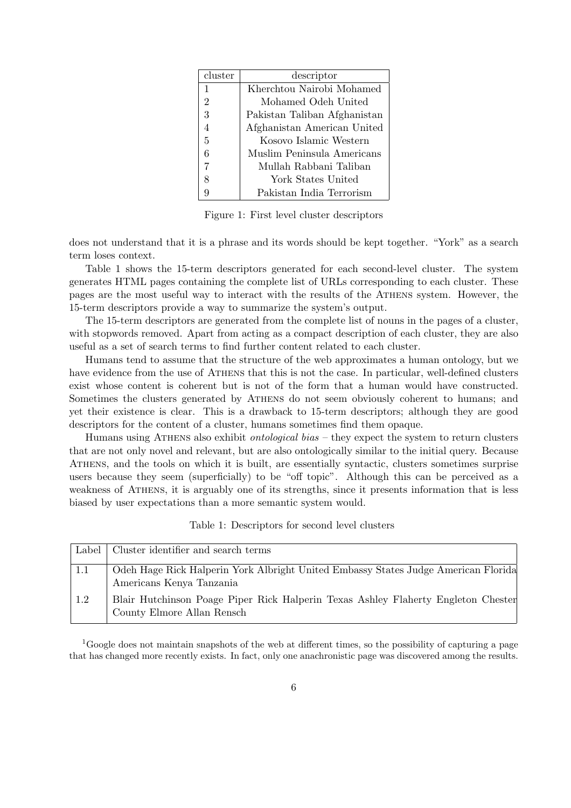| cluster        | descriptor                   |
|----------------|------------------------------|
| 1              | Kherchtou Nairobi Mohamed    |
| $\overline{2}$ | Mohamed Odeh United          |
| 3              | Pakistan Taliban Afghanistan |
| 4              | Afghanistan American United  |
| 5              | Kosovo Islamic Western       |
| 6              | Muslim Peninsula Americans   |
| 7              | Mullah Rabbani Taliban       |
| 8              | York States United           |
| g              | Pakistan India Terrorism     |

Figure 1: First level cluster descriptors

does not understand that it is a phrase and its words should be kept together. "York" as a search term loses context.

Table 1 shows the 15-term descriptors generated for each second-level cluster. The system generates HTML pages containing the complete list of URLs corresponding to each cluster. These pages are the most useful way to interact with the results of the Athens system. However, the 15-term descriptors provide a way to summarize the system's output.

The 15-term descriptors are generated from the complete list of nouns in the pages of a cluster, with stopwords removed. Apart from acting as a compact description of each cluster, they are also useful as a set of search terms to find further content related to each cluster.

Humans tend to assume that the structure of the web approximates a human ontology, but we have evidence from the use of ATHENS that this is not the case. In particular, well-defined clusters exist whose content is coherent but is not of the form that a human would have constructed. Sometimes the clusters generated by Athens do not seem obviously coherent to humans; and yet their existence is clear. This is a drawback to 15-term descriptors; although they are good descriptors for the content of a cluster, humans sometimes find them opaque.

Humans using ATHENS also exhibit *ontological bias* – they expect the system to return clusters that are not only novel and relevant, but are also ontologically similar to the initial query. Because Athens, and the tools on which it is built, are essentially syntactic, clusters sometimes surprise users because they seem (superficially) to be "off topic". Although this can be perceived as a weakness of Athens, it is arguably one of its strengths, since it presents information that is less biased by user expectations than a more semantic system would.

| Label 1 | Cluster identifier and search terms                                                                             |
|---------|-----------------------------------------------------------------------------------------------------------------|
| -1.1    | Odeh Hage Rick Halperin York Albright United Embassy States Judge American Florida<br>Americans Kenya Tanzania  |
| 1.2     | Blair Hutchinson Poage Piper Rick Halperin Texas Ashley Flaherty Engleton Chester<br>County Elmore Allan Rensch |

Table 1: Descriptors for second level clusters

<sup>1</sup>Google does not maintain snapshots of the web at different times, so the possibility of capturing a page that has changed more recently exists. In fact, only one anachronistic page was discovered among the results.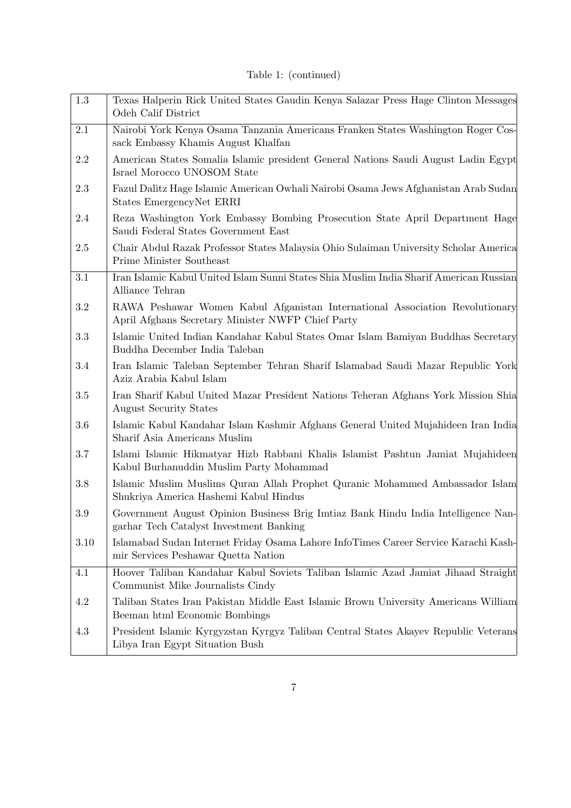## Table 1: (continued)

| 1.3       | Texas Halperin Rick United States Gaudin Kenya Salazar Press Hage Clinton Messages<br>Odeh Calif District                         |
|-----------|-----------------------------------------------------------------------------------------------------------------------------------|
| 2.1       | Nairobi York Kenya Osama Tanzania Americans Franken States Washington Roger Cos-<br>sack Embassy Khamis August Khalfan            |
| $2.2\,$   | American States Somalia Islamic president General Nations Saudi August Ladin Egypt<br>Israel Morocco UNOSOM State                 |
| 2.3       | Fazul Dalitz Hage Islamic American Owhali Nairobi Osama Jews Afghanistan Arab Sudan<br>States EmergencyNet ERRI                   |
| $2.4\,$   | Reza Washington York Embassy Bombing Prosecution State April Department Hage<br>Saudi Federal States Government East              |
| $2.5\,$   | Chair Abdul Razak Professor States Malaysia Ohio Sulaiman University Scholar America<br>Prime Minister Southeast                  |
| 3.1       | Iran Islamic Kabul United Islam Sunni States Shia Muslim India Sharif American Russian<br>Alliance Tehran                         |
| $\!3.2\!$ | RAWA Peshawar Women Kabul Afganistan International Association Revolutionary<br>April Afghans Secretary Minister NWFP Chief Party |
| $3.3\,$   | Islamic United Indian Kandahar Kabul States Omar Islam Bamiyan Buddhas Secretary<br>Buddha December India Taleban                 |
| 3.4       | Iran Islamic Taleban September Tehran Sharif Islamabad Saudi Mazar Republic York<br>Aziz Arabia Kabul Islam                       |
| $3.5\,$   | Iran Sharif Kabul United Mazar President Nations Teheran Afghans York Mission Shia<br><b>August Security States</b>               |
| 3.6       | Islamic Kabul Kandahar Islam Kashmir Afghans General United Mujahideen Iran India<br>Sharif Asia Americans Muslim                 |
| $3.7\,$   | Islami Islamic Hikmatyar Hizb Rabbani Khalis Islamist Pashtun Jamiat Mujahideen<br>Kabul Burhanuddin Muslim Party Mohammad        |
| 3.8       | Islamic Muslim Muslims Quran Allah Prophet Quranic Mohammed Ambassador Islam<br>Shukriya America Hashemi Kabul Hindus             |
| $3.9\,$   | Government August Opinion Business Brig Imtiaz Bank Hindu India Intelligence Nan-<br>garhar Tech Catalyst Investment Banking      |
| 3.10      | Islamabad Sudan Internet Friday Osama Lahore InfoTimes Career Service Karachi Kash-<br>mir Services Peshawar Quetta Nation        |
| 4.1       | Hoover Taliban Kandahar Kabul Soviets Taliban Islamic Azad Jamiat Jihaad Straight<br>Communist Mike Journalists Cindy             |
| 4.2       | Taliban States Iran Pakistan Middle East Islamic Brown University Americans William<br>Beeman html Economic Bombings              |
| 4.3       | President Islamic Kyrgyzstan Kyrgyz Taliban Central States Akayev Republic Veterans<br>Libya Iran Egypt Situation Bush            |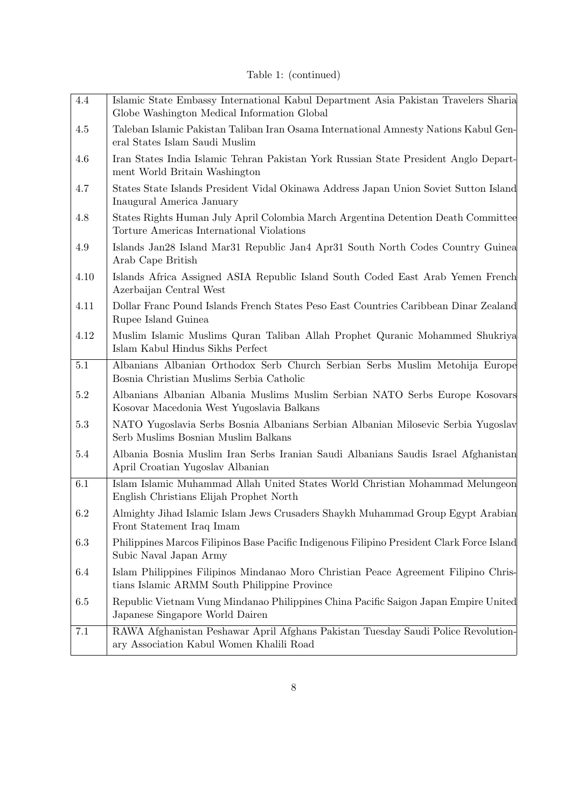Table 1: (continued)

| 4.4     | Islamic State Embassy International Kabul Department Asia Pakistan Travelers Sharia<br>Globe Washington Medical Information Global  |
|---------|-------------------------------------------------------------------------------------------------------------------------------------|
| 4.5     | Taleban Islamic Pakistan Taliban Iran Osama International Amnesty Nations Kabul Gen-<br>eral States Islam Saudi Muslim              |
| 4.6     | Iran States India Islamic Tehran Pakistan York Russian State President Anglo Depart-<br>ment World Britain Washington               |
| 4.7     | States State Islands President Vidal Okinawa Address Japan Union Soviet Sutton Island<br>Inaugural America January                  |
| 4.8     | States Rights Human July April Colombia March Argentina Detention Death Committee<br>Torture Americas International Violations      |
| 4.9     | Islands Jan28 Island Mar31 Republic Jan4 Apr31 South North Codes Country Guinea<br>Arab Cape British                                |
| 4.10    | Islands Africa Assigned ASIA Republic Island South Coded East Arab Yemen French<br>Azerbaijan Central West                          |
| 4.11    | Dollar Franc Pound Islands French States Peso East Countries Caribbean Dinar Zealand<br>Rupee Island Guinea                         |
| 4.12    | Muslim Islamic Muslims Quran Taliban Allah Prophet Quranic Mohammed Shukriya<br>Islam Kabul Hindus Sikhs Perfect                    |
| 5.1     | Albanians Albanian Orthodox Serb Church Serbian Serbs Muslim Metohija Europe<br>Bosnia Christian Muslims Serbia Catholic            |
| $5.2\,$ | Albanians Albanian Albania Muslims Muslim Serbian NATO Serbs Europe Kosovars<br>Kosovar Macedonia West Yugoslavia Balkans           |
| $5.3\,$ | NATO Yugoslavia Serbs Bosnia Albanians Serbian Albanian Milosevic Serbia Yugoslav<br>Serb Muslims Bosnian Muslim Balkans            |
| 5.4     | Albania Bosnia Muslim Iran Serbs Iranian Saudi Albanians Saudis Israel Afghanistan<br>April Croatian Yugoslav Albanian              |
| 6.1     | Islam Islamic Muhammad Allah United States World Christian Mohammad Melungeon<br>English Christians Elijah Prophet North            |
| $6.2\,$ | Almighty Jihad Islamic Islam Jews Crusaders Shaykh Muhammad Group Egypt Arabian<br>Front Statement Iraq Imam                        |
| 6.3     | Philippines Marcos Filipinos Base Pacific Indigenous Filipino President Clark Force Island<br>Subic Naval Japan Army                |
| 6.4     | Islam Philippines Filipinos Mindanao Moro Christian Peace Agreement Filipino Chris-<br>tians Islamic ARMM South Philippine Province |
| 6.5     | Republic Vietnam Vung Mindanao Philippines China Pacific Saigon Japan Empire United<br>Japanese Singapore World Dairen              |
| 7.1     | RAWA Afghanistan Peshawar April Afghans Pakistan Tuesday Saudi Police Revolution-<br>ary Association Kabul Women Khalili Road       |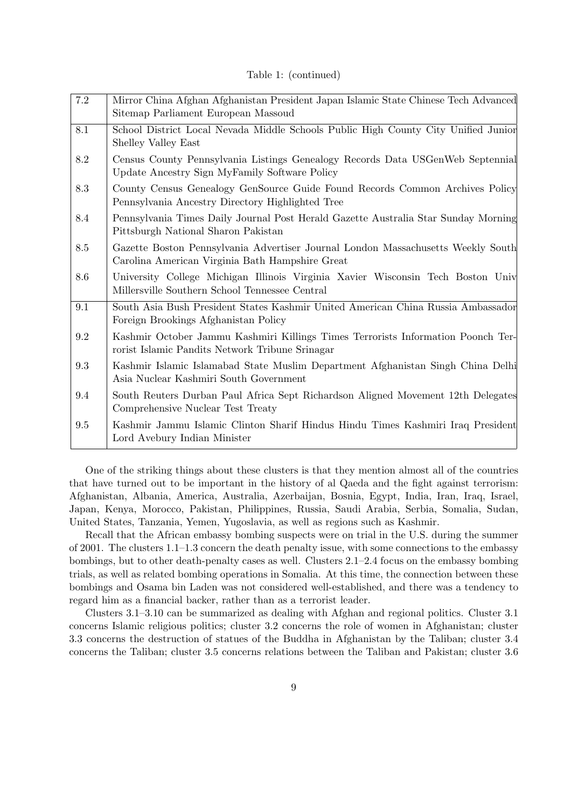| Table 1: (continued) |  |  |  |  |
|----------------------|--|--|--|--|
|----------------------|--|--|--|--|

| $7.2\,$   | Mirror China Afghan Afghanistan President Japan Islamic State Chinese Tech Advanced |
|-----------|-------------------------------------------------------------------------------------|
|           | Sitemap Parliament European Massoud                                                 |
| 8.1       | School District Local Nevada Middle Schools Public High County City Unified Junior  |
|           | Shelley Valley East                                                                 |
| 8.2       | Census County Pennsylvania Listings Genealogy Records Data USGenWeb Septennial      |
|           | Update Ancestry Sign MyFamily Software Policy                                       |
| 8.3       | County Census Genealogy GenSource Guide Found Records Common Archives Policy        |
|           | Pennsylvania Ancestry Directory Highlighted Tree                                    |
| 8.4       | Pennsylvania Times Daily Journal Post Herald Gazette Australia Star Sunday Morning  |
|           | Pittsburgh National Sharon Pakistan                                                 |
| 8.5       | Gazette Boston Pennsylvania Advertiser Journal London Massachusetts Weekly South    |
|           | Carolina American Virginia Bath Hampshire Great                                     |
| 8.6       | University College Michigan Illinois Virginia Xavier Wisconsin Tech Boston Univ     |
|           | Millersville Southern School Tennessee Central                                      |
| 9.1       | South Asia Bush President States Kashmir United American China Russia Ambassador    |
|           | Foreign Brookings Afghanistan Policy                                                |
| $\rm 9.2$ | Kashmir October Jammu Kashmiri Killings Times Terrorists Information Poonch Ter-    |
|           | rorist Islamic Pandits Network Tribune Srinagar                                     |
| $\rm 9.3$ | Kashmir Islamic Islamabad State Muslim Department Afghanistan Singh China Delhi     |
|           | Asia Nuclear Kashmiri South Government                                              |
| 9.4       | South Reuters Durban Paul Africa Sept Richardson Aligned Movement 12th Delegates    |
|           | Comprehensive Nuclear Test Treaty                                                   |
| $\,9.5$   | Kashmir Jammu Islamic Clinton Sharif Hindus Hindu Times Kashmiri Iraq President     |
|           | Lord Avebury Indian Minister                                                        |
|           |                                                                                     |

One of the striking things about these clusters is that they mention almost all of the countries that have turned out to be important in the history of al Qaeda and the fight against terrorism: Afghanistan, Albania, America, Australia, Azerbaijan, Bosnia, Egypt, India, Iran, Iraq, Israel, Japan, Kenya, Morocco, Pakistan, Philippines, Russia, Saudi Arabia, Serbia, Somalia, Sudan, United States, Tanzania, Yemen, Yugoslavia, as well as regions such as Kashmir.

Recall that the African embassy bombing suspects were on trial in the U.S. during the summer of 2001. The clusters 1.1–1.3 concern the death penalty issue, with some connections to the embassy bombings, but to other death-penalty cases as well. Clusters 2.1–2.4 focus on the embassy bombing trials, as well as related bombing operations in Somalia. At this time, the connection between these bombings and Osama bin Laden was not considered well-established, and there was a tendency to regard him as a financial backer, rather than as a terrorist leader.

Clusters 3.1–3.10 can be summarized as dealing with Afghan and regional politics. Cluster 3.1 concerns Islamic religious politics; cluster 3.2 concerns the role of women in Afghanistan; cluster 3.3 concerns the destruction of statues of the Buddha in Afghanistan by the Taliban; cluster 3.4 concerns the Taliban; cluster 3.5 concerns relations between the Taliban and Pakistan; cluster 3.6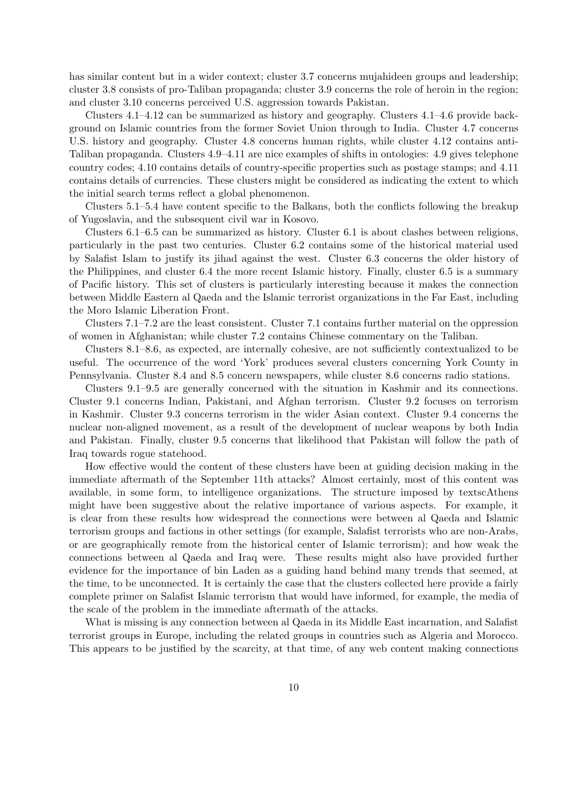has similar content but in a wider context; cluster 3.7 concerns mujahideen groups and leadership; cluster 3.8 consists of pro-Taliban propaganda; cluster 3.9 concerns the role of heroin in the region; and cluster 3.10 concerns perceived U.S. aggression towards Pakistan.

Clusters 4.1–4.12 can be summarized as history and geography. Clusters 4.1–4.6 provide background on Islamic countries from the former Soviet Union through to India. Cluster 4.7 concerns U.S. history and geography. Cluster 4.8 concerns human rights, while cluster 4.12 contains anti-Taliban propaganda. Clusters 4.9–4.11 are nice examples of shifts in ontologies: 4.9 gives telephone country codes; 4.10 contains details of country-specific properties such as postage stamps; and 4.11 contains details of currencies. These clusters might be considered as indicating the extent to which the initial search terms reflect a global phenomenon.

Clusters 5.1–5.4 have content specific to the Balkans, both the conflicts following the breakup of Yugoslavia, and the subsequent civil war in Kosovo.

Clusters 6.1–6.5 can be summarized as history. Cluster 6.1 is about clashes between religions, particularly in the past two centuries. Cluster 6.2 contains some of the historical material used by Salafist Islam to justify its jihad against the west. Cluster 6.3 concerns the older history of the Philippines, and cluster 6.4 the more recent Islamic history. Finally, cluster 6.5 is a summary of Pacific history. This set of clusters is particularly interesting because it makes the connection between Middle Eastern al Qaeda and the Islamic terrorist organizations in the Far East, including the Moro Islamic Liberation Front.

Clusters 7.1–7.2 are the least consistent. Cluster 7.1 contains further material on the oppression of women in Afghanistan; while cluster 7.2 contains Chinese commentary on the Taliban.

Clusters 8.1–8.6, as expected, are internally cohesive, are not sufficiently contextualized to be useful. The occurrence of the word 'York' produces several clusters concerning York County in Pennsylvania. Cluster 8.4 and 8.5 concern newspapers, while cluster 8.6 concerns radio stations.

Clusters 9.1–9.5 are generally concerned with the situation in Kashmir and its connections. Cluster 9.1 concerns Indian, Pakistani, and Afghan terrorism. Cluster 9.2 focuses on terrorism in Kashmir. Cluster 9.3 concerns terrorism in the wider Asian context. Cluster 9.4 concerns the nuclear non-aligned movement, as a result of the development of nuclear weapons by both India and Pakistan. Finally, cluster 9.5 concerns that likelihood that Pakistan will follow the path of Iraq towards rogue statehood.

How effective would the content of these clusters have been at guiding decision making in the immediate aftermath of the September 11th attacks? Almost certainly, most of this content was available, in some form, to intelligence organizations. The structure imposed by textscAthens might have been suggestive about the relative importance of various aspects. For example, it is clear from these results how widespread the connections were between al Qaeda and Islamic terrorism groups and factions in other settings (for example, Salafist terrorists who are non-Arabs, or are geographically remote from the historical center of Islamic terrorism); and how weak the connections between al Qaeda and Iraq were. These results might also have provided further evidence for the importance of bin Laden as a guiding hand behind many trends that seemed, at the time, to be unconnected. It is certainly the case that the clusters collected here provide a fairly complete primer on Salafist Islamic terrorism that would have informed, for example, the media of the scale of the problem in the immediate aftermath of the attacks.

What is missing is any connection between al Qaeda in its Middle East incarnation, and Salafist terrorist groups in Europe, including the related groups in countries such as Algeria and Morocco. This appears to be justified by the scarcity, at that time, of any web content making connections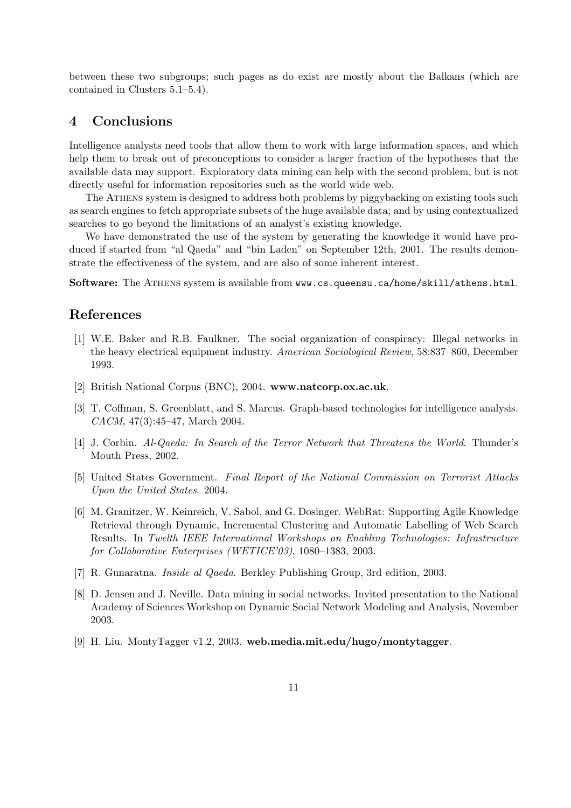between these two subgroups; such pages as do exist are mostly about the Balkans (which are contained in Clusters 5.1–5.4).

### 4 Conclusions

Intelligence analysts need tools that allow them to work with large information spaces, and which help them to break out of preconceptions to consider a larger fraction of the hypotheses that the available data may support. Exploratory data mining can help with the second problem, but is not directly useful for information repositories such as the world wide web.

The ATHENS system is designed to address both problems by piggybacking on existing tools such as search engines to fetch appropriate subsets of the huge available data; and by using contextualized searches to go beyond the limitations of an analyst's existing knowledge.

We have demonstrated the use of the system by generating the knowledge it would have produced if started from "al Qaeda" and "bin Laden" on September 12th, 2001. The results demonstrate the effectiveness of the system, and are also of some inherent interest.

Software: The Athens system is available from www.cs.queensu.ca/home/skill/athens.html.

## References

- [1] W.E. Baker and R.B. Faulkner. The social organization of conspiracy: Illegal networks in the heavy electrical equipment industry. American Sociological Review, 58:837–860, December 1993.
- [2] British National Corpus (BNC), 2004. www.natcorp.ox.ac.uk.
- [3] T. Coffman, S. Greenblatt, and S. Marcus. Graph-based technologies for intelligence analysis. CACM, 47(3):45–47, March 2004.
- [4] J. Corbin. Al-Qaeda: In Search of the Terror Network that Threatens the World. Thunder's Mouth Press, 2002.
- [5] United States Government. Final Report of the National Commission on Terrorist Attacks Upon the United States. 2004.
- [6] M. Granitzer, W. Keinreich, V. Sabol, and G. Dosinger. WebRat: Supporting Agile Knowledge Retrieval through Dynamic, Incremental Clustering and Automatic Labelling of Web Search Results. In Twelth IEEE International Workshops on Enabling Technologies: Infrastructure for Collaborative Enterprises (WETICE'03), 1080–1383, 2003.
- [7] R. Gunaratna. Inside al Qaeda. Berkley Publishing Group, 3rd edition, 2003.
- [8] D. Jensen and J. Neville. Data mining in social networks. Invited presentation to the National Academy of Sciences Workshop on Dynamic Social Network Modeling and Analysis, November 2003.
- [9] H. Liu. MontyTagger v1.2, 2003. web.media.mit.edu/hugo/montytagger.